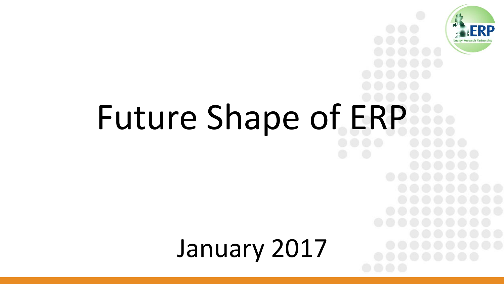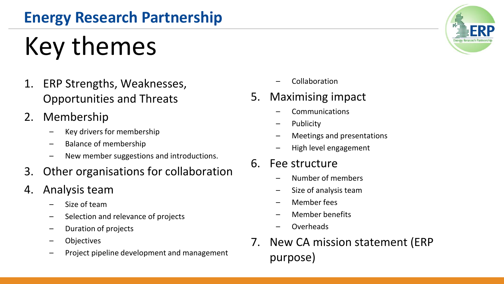# Key themes

- 1. ERP Strengths, Weaknesses, Opportunities and Threats
- 2. Membership
	- Key drivers for membership
	- Balance of membership
	- New member suggestions and introductions.
- 3. Other organisations for collaboration
- 4. Analysis team
	- Size of team
	- Selection and relevance of projects
	- Duration of projects
	- **Objectives**
	- Project pipeline development and management
- Collaboration
- 5. Maximising impact
	- Communications
	- **Publicity**
	- Meetings and presentations
	- High level engagement
- 6. Fee structure
	- Number of members
	- Size of analysis team
	- Member fees
	- Member benefits
	- Overheads
- 7. New CA mission statement (ERP purpose)

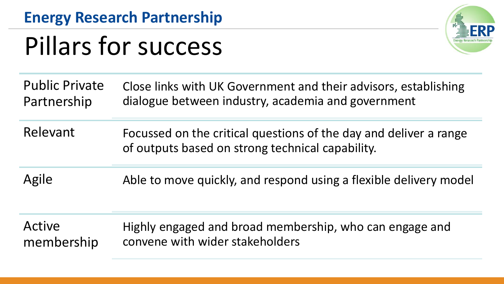### Pillars for success



Public Private Partnership Close links with UK Government and their advisors, establishing dialogue between industry, academia and government

Relevant Focussed on the critical questions of the day and deliver a range of outputs based on strong technical capability.

Agile Able to move quickly, and respond using a flexible delivery model

Active membership Highly engaged and broad membership, who can engage and convene with wider stakeholders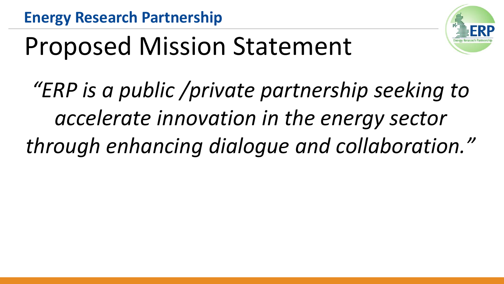

### Proposed Mission Statement

*"ERP is a public /private partnership seeking to accelerate innovation in the energy sector through enhancing dialogue and collaboration."*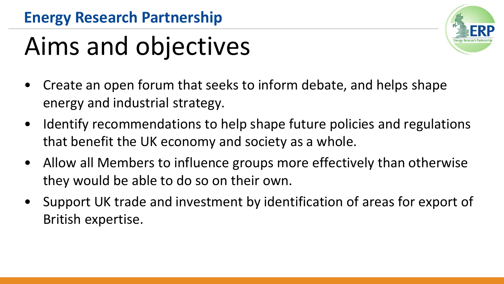### Aims and objectives

- Create an open forum that seeks to inform debate, and helps shape energy and industrial strategy.
- Identify recommendations to help shape future policies and regulations that benefit the UK economy and society as a whole.
- Allow all Members to influence groups more effectively than otherwise they would be able to do so on their own.
- Support UK trade and investment by identification of areas for export of British expertise.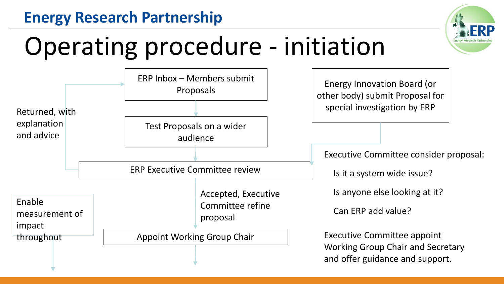

### Operating procedure - initiation

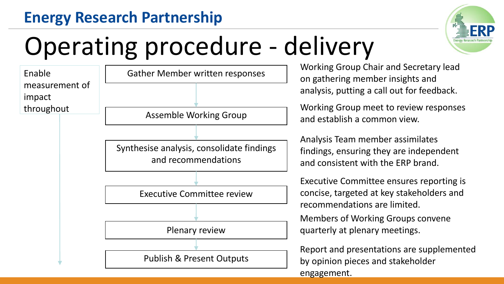

### Operating procedure - delivery



Working Group Chair and Secretary lead on gathering member insights and analysis, putting a call out for feedback.

Working Group meet to review responses and establish a common view.

Analysis Team member assimilates findings, ensuring they are independent and consistent with the ERP brand.

Executive Committee ensures reporting is concise, targeted at key stakeholders and recommendations are limited.

Members of Working Groups convene quarterly at plenary meetings.

Report and presentations are supplemented by opinion pieces and stakeholder engagement.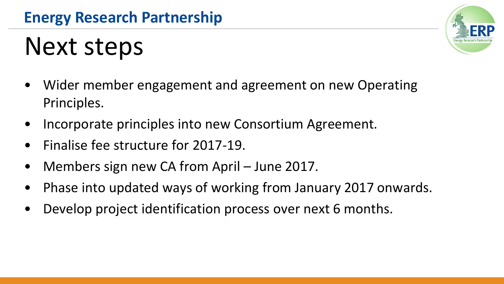### Next steps



- Incorporate principles into new Consortium Agreement.
- Finalise fee structure for 2017-19.
- Members sign new CA from April June 2017.
- Phase into updated ways of working from January 2017 onwards.
- Develop project identification process over next 6 months.

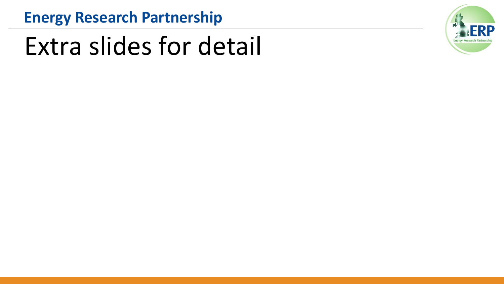### Extra slides for detail

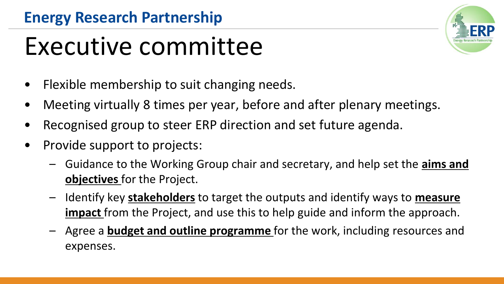### Executive committee



- Meeting virtually 8 times per year, before and after plenary meetings.
- Recognised group to steer ERP direction and set future agenda.
- Provide support to projects:
	- Guidance to the Working Group chair and secretary, and help set the **aims and objectives** for the Project.
	- Identify key **stakeholders** to target the outputs and identify ways to **measure impact** from the Project, and use this to help guide and inform the approach.
	- Agree a **budget and outline programme** for the work, including resources and expenses.

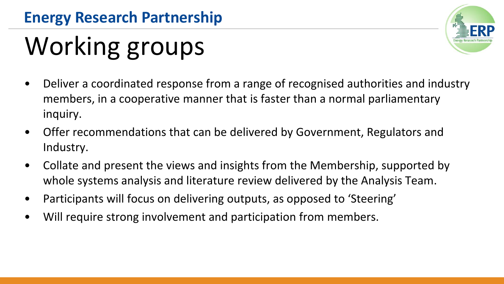# Working groups



- Offer recommendations that can be delivered by Government, Regulators and Industry.
- Collate and present the views and insights from the Membership, supported by whole systems analysis and literature review delivered by the Analysis Team.
- Participants will focus on delivering outputs, as opposed to 'Steering'
- Will require strong involvement and participation from members.